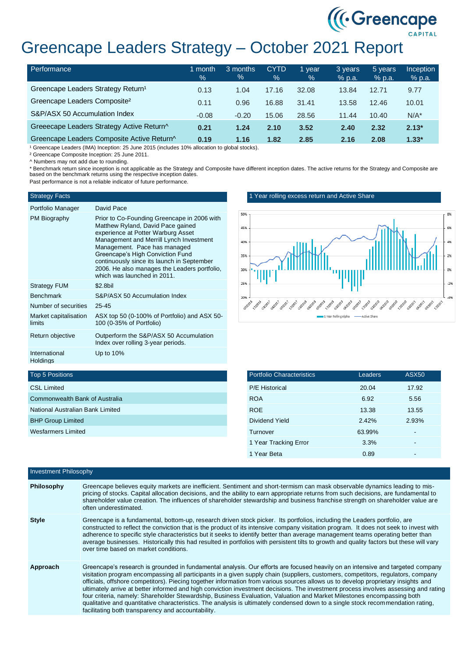# Greencape Leaders Strategy – October 2021 Report

| Performance                                    | month<br>$\%$ | 3 months<br>% | <b>CYTD</b><br>$\%$ | 1 year<br>$\%$ | 3 years<br>$%$ p.a. | 5 years<br>$%$ p.a. | <b>Inception</b><br>% p.a. |
|------------------------------------------------|---------------|---------------|---------------------|----------------|---------------------|---------------------|----------------------------|
| Greencape Leaders Strategy Return <sup>1</sup> | 0.13          | 1.04          | 17.16               | 32.08          | 13.84               | 12.71               | 9.77                       |
| Greencape Leaders Composite <sup>2</sup>       | 0.11          | 0.96          | 16.88               | 31.41          | 13.58               | 12.46               | 10.01                      |
| S&P/ASX 50 Accumulation Index                  | $-0.08$       | $-0.20$       | 15.06               | 28.56          | 11.44               | 10.40               | $N/A^*$                    |
| Greeecape Leaders Strategy Active Return^      | 0.21          | 1.24          | 2.10                | 3.52           | 2.40                | 2.32                | $2.13*$                    |
| Greencape Leaders Composite Active Return^     | 0.19          | 1.16          | 1.82                | 2.85           | 2.16                | 2.08                | $1.33*$                    |

<sup>1</sup> Greencape Leaders (IMA) Inception: 25 June 2015 (includes 10% allocation to global stocks).

² Greencape Composite Inception: 25 June 2011.

^ Numbers may not add due to rounding.

\* Benchmark return since inception is not applicable as the Strategy and Composite have different inception dates. The active returns for the Strategy and Composite are based on the benchmark returns using the respective inception dates.

Past performance is not a reliable indicator of future performance.

#### Strategy Facts

## Portfolio Manager David Pace

| <b>I</b> UILIUIIU IVIAHAYGI      | Daviu Lauc                                                                                                                                                                                                                                                                                                                                                         |
|----------------------------------|--------------------------------------------------------------------------------------------------------------------------------------------------------------------------------------------------------------------------------------------------------------------------------------------------------------------------------------------------------------------|
| PM Biography                     | Prior to Co-Founding Greencape in 2006 with<br>Matthew Ryland, David Pace gained<br>experience at Potter Warburg Asset<br>Management and Merrill Lynch Investment<br>Management. Pace has managed<br>Greencape's High Conviction Fund<br>continuously since its launch in September<br>2006. He also manages the Leaders portfolio.<br>which was launched in 2011. |
| <b>Strategy FUM</b>              | \$2.8bil                                                                                                                                                                                                                                                                                                                                                           |
| <b>Benchmark</b>                 | S&P/ASX 50 Accumulation Index                                                                                                                                                                                                                                                                                                                                      |
| Number of securities             | $25 - 45$                                                                                                                                                                                                                                                                                                                                                          |
| Market capitalisation<br>limits  | ASX top 50 (0-100% of Portfolio) and ASX 50-<br>100 (0-35% of Portfolio)                                                                                                                                                                                                                                                                                           |
| Return objective                 | Outperform the S&P/ASX 50 Accumulation<br>Index over rolling 3-year periods.                                                                                                                                                                                                                                                                                       |
| International<br><b>Holdings</b> | Up to $10\%$                                                                                                                                                                                                                                                                                                                                                       |

### 1 Year rolling excess return and Active Share



((Creencape)

| <b>Portfolio Characteristics</b> | Leaders | <b>ASX50</b> |
|----------------------------------|---------|--------------|
| <b>P/E Historical</b>            | 20.04   | 17.92        |
| <b>ROA</b>                       | 6.92    | 5.56         |
| <b>ROE</b>                       | 13.38   | 13.55        |
| Dividend Yield                   | 2.42%   | 2.93%        |
| Turnover                         | 63.99%  |              |
| 1 Year Tracking Error            | 3.3%    |              |
| 1 Year Beta                      | 0.89    |              |

## Top 5 Positions

| <b>CSL Limited</b>               |
|----------------------------------|
| Commonwealth Bank of Australia   |
| National Australian Bank Limited |
| <b>BHP Group Limited</b>         |
| Wesfarmers Limited               |
|                                  |

| <b>Investment Philosophy</b> |                                                                                                                                                                                                                                                                                                                                                                                                                                                                                                                                                                                                                                                                                                                                                                                                                                                                    |  |  |
|------------------------------|--------------------------------------------------------------------------------------------------------------------------------------------------------------------------------------------------------------------------------------------------------------------------------------------------------------------------------------------------------------------------------------------------------------------------------------------------------------------------------------------------------------------------------------------------------------------------------------------------------------------------------------------------------------------------------------------------------------------------------------------------------------------------------------------------------------------------------------------------------------------|--|--|
| Philosophy                   | Greencape believes equity markets are inefficient. Sentiment and short-termism can mask observable dynamics leading to mis-<br>pricing of stocks. Capital allocation decisions, and the ability to earn appropriate returns from such decisions, are fundamental to<br>shareholder value creation. The influences of shareholder stewardship and business franchise strength on shareholder value are<br>often underestimated.                                                                                                                                                                                                                                                                                                                                                                                                                                     |  |  |
| Style                        | Greencape is a fundamental, bottom-up, research driven stock picker. Its portfolios, including the Leaders portfolio, are<br>constructed to reflect the conviction that is the product of its intensive company visitation program. It does not seek to invest with<br>adherence to specific style characteristics but it seeks to identify better than average management teams operating better than<br>average businesses. Historically this had resulted in portfolios with persistent tilts to growth and quality factors but these will vary<br>over time based on market conditions.                                                                                                                                                                                                                                                                        |  |  |
| Approach                     | Greencape's research is grounded in fundamental analysis. Our efforts are focused heavily on an intensive and targeted company<br>visitation program encompassing all participants in a given supply chain (suppliers, customers, competitors, regulators, company<br>officials, offshore competitors). Piecing together information from various sources allows us to develop proprietary insights and<br>ultimately arrive at better informed and high conviction investment decisions. The investment process involves assessing and rating<br>four criteria, namely: Shareholder Stewardship, Business Evaluation, Valuation and Market Milestones encompassing both<br>qualitative and quantitative characteristics. The analysis is ultimately condensed down to a single stock recommendation rating,<br>facilitating both transparency and accountability. |  |  |